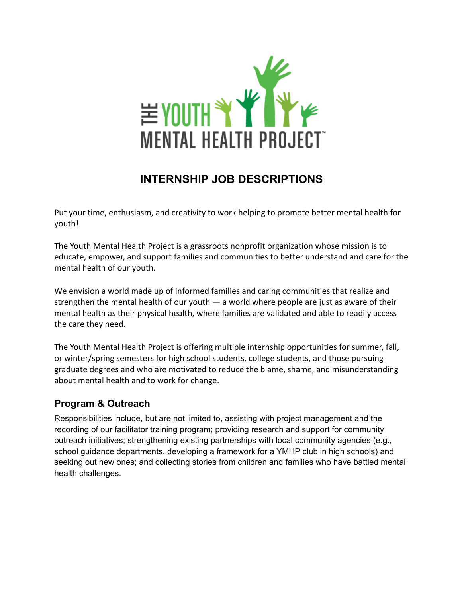

# **INTERNSHIP JOB DESCRIPTIONS**

Put your time, enthusiasm, and creativity to work helping to promote better mental health for youth!

The Youth Mental Health Project is a grassroots nonprofit organization whose mission is to educate, empower, and support families and communities to better understand and care for the mental health of our youth.

We envision a world made up of informed families and caring communities that realize and strengthen the mental health of our youth  $-$  a world where people are just as aware of their mental health as their physical health, where families are validated and able to readily access the care they need.

The Youth Mental Health Project is offering multiple internship opportunities for summer, fall, or winter/spring semesters for high school students, college students, and those pursuing graduate degrees and who are motivated to reduce the blame, shame, and misunderstanding about mental health and to work for change.

### **Program & Outreach**

Responsibilities include, but are not limited to, assisting with project management and the recording of our facilitator training program; providing research and support for community outreach initiatives; strengthening existing partnerships with local community agencies (e.g., school guidance departments, developing a framework for a YMHP club in high schools) and seeking out new ones; and collecting stories from children and families who have battled mental health challenges.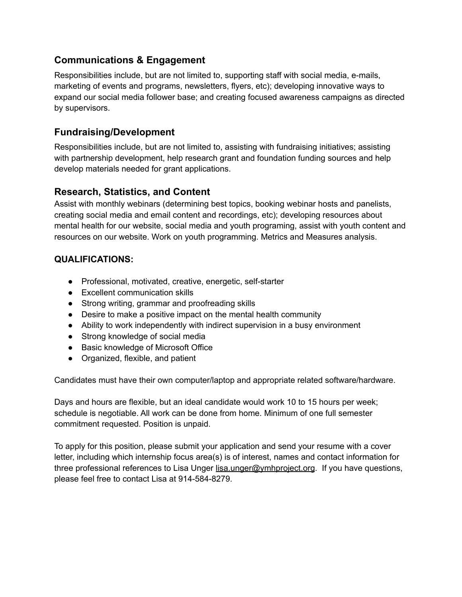#### **Communications & Engagement**

Responsibilities include, but are not limited to, supporting staff with social media, e-mails, marketing of events and programs, newsletters, flyers, etc); developing innovative ways to expand our social media follower base; and creating focused awareness campaigns as directed by supervisors.

#### **Fundraising/Development**

Responsibilities include, but are not limited to, assisting with fundraising initiatives; assisting with partnership development, help research grant and foundation funding sources and help develop materials needed for grant applications.

#### **Research, Statistics, and Content**

Assist with monthly webinars (determining best topics, booking webinar hosts and panelists, creating social media and email content and recordings, etc); developing resources about mental health for our website, social media and youth programing, assist with youth content and resources on our website. Work on youth programming. Metrics and Measures analysis.

#### **QUALIFICATIONS:**

- Professional, motivated, creative, energetic, self-starter
- Excellent communication skills
- Strong writing, grammar and proofreading skills
- Desire to make a positive impact on the mental health community
- Ability to work independently with indirect supervision in a busy environment
- Strong knowledge of social media
- Basic knowledge of Microsoft Office
- Organized, flexible, and patient

Candidates must have their own computer/laptop and appropriate related software/hardware.

Days and hours are flexible, but an ideal candidate would work 10 to 15 hours per week; schedule is negotiable. All work can be done from home. Minimum of one full semester commitment requested. Position is unpaid.

To apply for this position, please submit your application and send your resume with a cover letter, including which internship focus area(s) is of interest, names and contact information for three professional references to Lisa Unger [lisa.unger@ymhproject.org](mailto:lisa.unger@ymhproject.org). If you have questions, please feel free to contact Lisa at 914-584-8279.